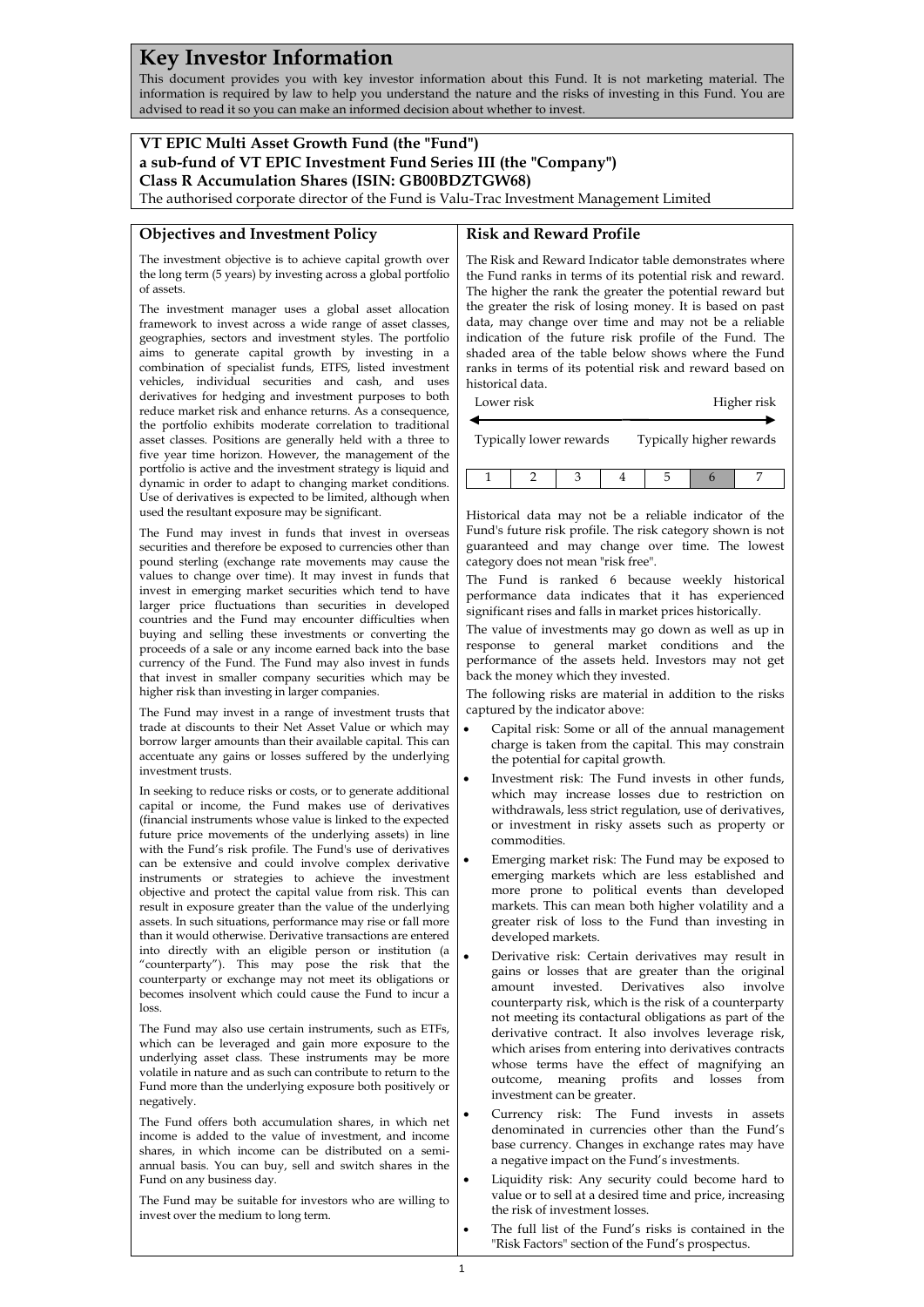# **Key Investor Information**

This document provides you with key investor information about this Fund. It is not marketing material. The information is required by law to help you understand the nature and the risks of investing in this Fund. You are advised to read it so you can make an informed decision about whether to invest.

## **VT EPIC Multi Asset Growth Fund (the "Fund") a sub-fund of VT EPIC Investment Fund Series III (the "Company") Class R Accumulation Shares (ISIN: GB00BDZTGW68)**

The authorised corporate director of the Fund is Valu-Trac Investment Management Limited

#### **Objectives and Investment Policy**

## **Risk and Reward Profile**

The investment objective is to achieve capital growth over the long term (5 years) by investing across a global portfolio of assets.

The investment manager uses a global asset allocation framework to invest across a wide range of asset classes, geographies, sectors and investment styles. The portfolio aims to generate capital growth by investing in a combination of specialist funds, ETFS, listed investment vehicles, individual securities and cash, and uses derivatives for hedging and investment purposes to both reduce market risk and enhance returns. As a consequence, the portfolio exhibits moderate correlation to traditional asset classes. Positions are generally held with a three to five year time horizon. However, the management of the portfolio is active and the investment strategy is liquid and dynamic in order to adapt to changing market conditions. Use of derivatives is expected to be limited, although when used the resultant exposure may be significant.

The Fund may invest in funds that invest in overseas securities and therefore be exposed to currencies other than pound sterling (exchange rate movements may cause the values to change over time). It may invest in funds that invest in emerging market securities which tend to have larger price fluctuations than securities in developed countries and the Fund may encounter difficulties when buying and selling these investments or converting the proceeds of a sale or any income earned back into the base currency of the Fund. The Fund may also invest in funds that invest in smaller company securities which may be higher risk than investing in larger companies.

The Fund may invest in a range of investment trusts that trade at discounts to their Net Asset Value or which may borrow larger amounts than their available capital. This can accentuate any gains or losses suffered by the underlying investment trusts.

In seeking to reduce risks or costs, or to generate additional capital or income, the Fund makes use of derivatives (financial instruments whose value is linked to the expected future price movements of the underlying assets) in line with the Fund's risk profile. The Fund's use of derivatives can be extensive and could involve complex derivative instruments or strategies to achieve the investment objective and protect the capital value from risk. This can result in exposure greater than the value of the underlying assets. In such situations, performance may rise or fall more than it would otherwise. Derivative transactions are entered into directly with an eligible person or institution (a "counterparty"). This may pose the risk that the counterparty or exchange may not meet its obligations or becomes insolvent which could cause the Fund to incur a loss.

The Fund may also use certain instruments, such as ETFs, which can be leveraged and gain more exposure to the underlying asset class. These instruments may be more volatile in nature and as such can contribute to return to the Fund more than the underlying exposure both positively or negatively.

The Fund offers both accumulation shares, in which net income is added to the value of investment, and income shares, in which income can be distributed on a semiannual basis. You can buy, sell and switch shares in the Fund on any business day.

The Fund may be suitable for investors who are willing to invest over the medium to long term.

The Risk and Reward Indicator table demonstrates where the Fund ranks in terms of its potential risk and reward. The higher the rank the greater the potential reward but the greater the risk of losing money. It is based on past data, may change over time and may not be a reliable indication of the future risk profile of the Fund. The shaded area of the table below shows where the Fund ranks in terms of its potential risk and reward based on historical data.

| Lower risk              |  |  |                          |  | Higher risk |
|-------------------------|--|--|--------------------------|--|-------------|
| Typically lower rewards |  |  | Typically higher rewards |  |             |
|                         |  |  |                          |  |             |

Historical data may not be a reliable indicator of the Fund's future risk profile. The risk category shown is not guaranteed and may change over time. The lowest category does not mean "risk free".

The Fund is ranked 6 because weekly historical performance data indicates that it has experienced significant rises and falls in market prices historically.

The value of investments may go down as well as up in response to general market conditions and the performance of the assets held. Investors may not get back the money which they invested.

The following risks are material in addition to the risks captured by the indicator above:

- Capital risk: Some or all of the annual management charge is taken from the capital. This may constrain the potential for capital growth.
- Investment risk: The Fund invests in other funds, which may increase losses due to restriction on withdrawals, less strict regulation, use of derivatives, or investment in risky assets such as property or commodities.
- Emerging market risk: The Fund may be exposed to emerging markets which are less established and more prone to political events than developed markets. This can mean both higher volatility and a greater risk of loss to the Fund than investing in developed markets.
- Derivative risk: Certain derivatives may result in gains or losses that are greater than the original amount invested. Derivatives also involve counterparty risk, which is the risk of a counterparty not meeting its contactural obligations as part of the derivative contract. It also involves leverage risk, which arises from entering into derivatives contracts whose terms have the effect of magnifying an outcome, meaning profits and losses from investment can be greater.
- Currency risk: The Fund invests in assets denominated in currencies other than the Fund's base currency. Changes in exchange rates may have a negative impact on the Fund's investments.
- Liquidity risk: Any security could become hard to value or to sell at a desired time and price, increasing the risk of investment losses.
- The full list of the Fund's risks is contained in the "Risk Factors" section of the Fund's prospectus.